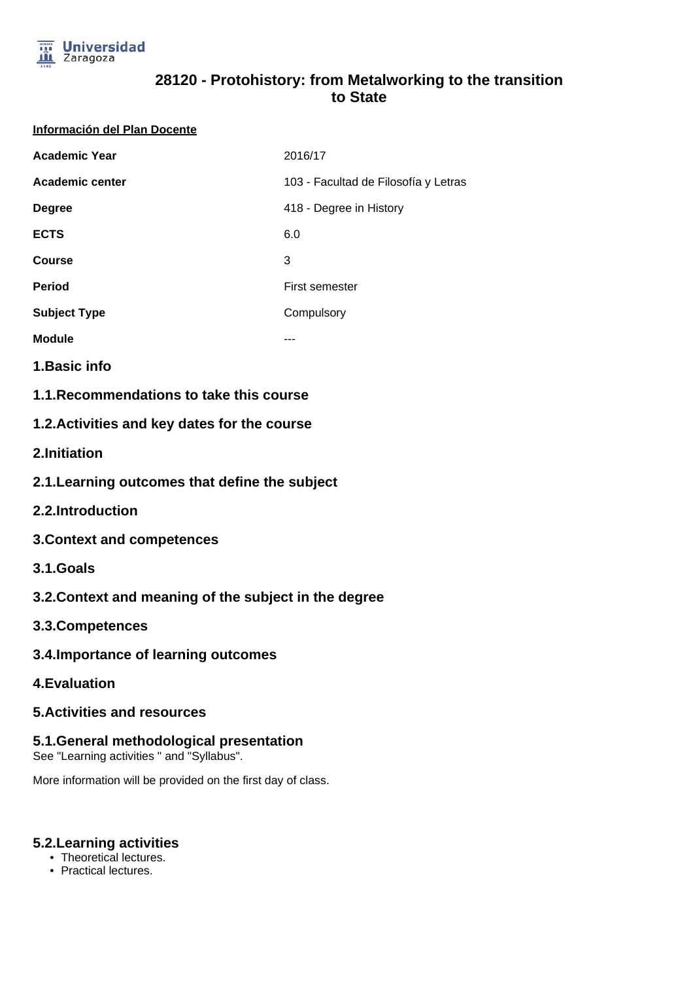

# **28120 - Protohistory: from Metalworking to the transition to State**

#### **Información del Plan Docente**

| <b>Academic Year</b> | 2016/17                              |
|----------------------|--------------------------------------|
| Academic center      | 103 - Facultad de Filosofía y Letras |
| <b>Degree</b>        | 418 - Degree in History              |
| <b>ECTS</b>          | 6.0                                  |
| <b>Course</b>        | 3                                    |
| <b>Period</b>        | <b>First semester</b>                |
| <b>Subject Type</b>  | Compulsory                           |
| <b>Module</b>        | ---                                  |

**1.Basic info**

**1.1.Recommendations to take this course**

# **1.2.Activities and key dates for the course**

**2.Initiation**

- **2.1.Learning outcomes that define the subject**
- **2.2.Introduction**
- **3.Context and competences**
- **3.1.Goals**
- **3.2.Context and meaning of the subject in the degree**
- **3.3.Competences**
- **3.4.Importance of learning outcomes**
- **4.Evaluation**

### **5.Activities and resources**

### **5.1.General methodological presentation**

See "Learning activities " and "Syllabus".

More information will be provided on the first day of class.

### **5.2.Learning activities**

- Theoretical lectures.
- Practical lectures.